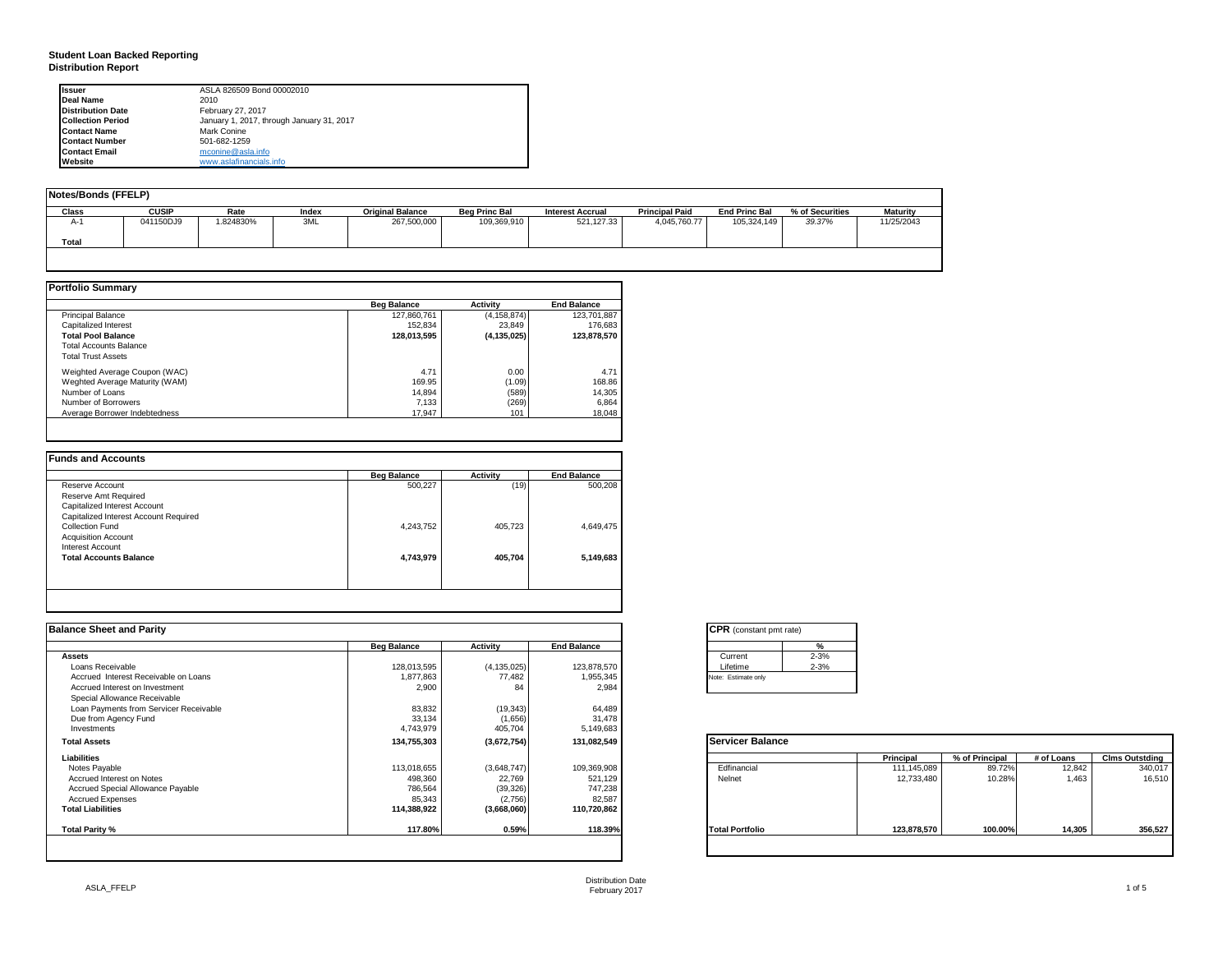#### **Student Loan Backed Reporting Distribution Report**

| <b>Issuer</b>            | ASLA 826509 Bond 00002010                 |
|--------------------------|-------------------------------------------|
| Deal Name                | 2010                                      |
| <b>Distribution Date</b> | February 27, 2017                         |
| <b>Collection Period</b> | January 1, 2017, through January 31, 2017 |
| <b>Contact Name</b>      | Mark Conine                               |
| <b>Contact Number</b>    | 501-682-1259                              |
| <b>Contact Email</b>     | mconine@asla.info                         |
| Website                  | www.aslafinancials.info                   |

| Notes/Bonds (FFELP) |              |          |       |                         |                      |                         |                       |                      |                 |                 |
|---------------------|--------------|----------|-------|-------------------------|----------------------|-------------------------|-----------------------|----------------------|-----------------|-----------------|
| Class               | <b>CUSIP</b> | Rate     | Index | <b>Original Balance</b> | <b>Beg Princ Bal</b> | <b>Interest Accrual</b> | <b>Principal Paid</b> | <b>End Princ Bal</b> | % of Securities | <b>Maturity</b> |
| A-1                 | 041150DJ9    | .824830% | 3ML   | 267,500,000             | 109,369,910          | 521,127.33              | 4,045,760.77          | 105,324,149          | 39.37%          | 11/25/2043      |
| Total               |              |          |       |                         |                      |                         |                       |                      |                 |                 |
|                     |              |          |       |                         |                      |                         |                       |                      |                 |                 |

|                                | <b>Beg Balance</b> | <b>Activity</b> | <b>End Balance</b> |
|--------------------------------|--------------------|-----------------|--------------------|
| <b>Principal Balance</b>       | 127.860.761        | (4, 158, 874)   | 123,701,887        |
| Capitalized Interest           | 152.834            | 23.849          | 176,683            |
| <b>Total Pool Balance</b>      | 128,013,595        | (4, 135, 025)   | 123,878,570        |
| <b>Total Accounts Balance</b>  |                    |                 |                    |
| <b>Total Trust Assets</b>      |                    |                 |                    |
| Weighted Average Coupon (WAC)  | 4.71               | 0.00            | 4.71               |
| Weghted Average Maturity (WAM) | 169.95             | (1.09)          | 168.86             |
| Number of Loans                | 14.894             | (589)           | 14,305             |
| Number of Borrowers            | 7.133              | (269)           | 6,864              |
| Average Borrower Indebtedness  | 17.947             | 101             | 18,048             |

|                                       | <b>Beg Balance</b> | <b>Activity</b> | <b>End Balance</b> |
|---------------------------------------|--------------------|-----------------|--------------------|
| Reserve Account                       | 500,227            | (19)            | 500.208            |
| Reserve Amt Required                  |                    |                 |                    |
| Capitalized Interest Account          |                    |                 |                    |
| Capitalized Interest Account Required |                    |                 |                    |
| Collection Fund                       | 4,243,752          | 405.723         | 4.649.475          |
| <b>Acquisition Account</b>            |                    |                 |                    |
| Interest Account                      |                    |                 |                    |
| <b>Total Accounts Balance</b>         | 4,743,979          | 405.704         | 5,149,683          |

| <b>Balance Sheet and Parity</b>        |                    |               |                    | <b>CPR</b> (constant pmt rate) |             |                |            |                       |
|----------------------------------------|--------------------|---------------|--------------------|--------------------------------|-------------|----------------|------------|-----------------------|
|                                        | <b>Beg Balance</b> | Activity      | <b>End Balance</b> | $\frac{0}{6}$                  |             |                |            |                       |
| <b>Assets</b>                          |                    |               |                    | $2 - 3%$<br>Current            |             |                |            |                       |
| Loans Receivable                       | 128,013,595        | (4, 135, 025) | 123,878,570        | $2 - 3%$<br>Lifetime           |             |                |            |                       |
| Accrued Interest Receivable on Loans   | 1,877,863          | 77,482        | 1,955,345          | Note: Estimate only            |             |                |            |                       |
| Accrued Interest on Investment         | 2,900              | 84            | 2,984              |                                |             |                |            |                       |
| Special Allowance Receivable           |                    |               |                    |                                |             |                |            |                       |
| Loan Payments from Servicer Receivable | 83,832             | (19, 343)     | 64,489             |                                |             |                |            |                       |
| Due from Agency Fund                   | 33,134             | (1,656)       | 31,478             |                                |             |                |            |                       |
| Investments                            | 4,743,979          | 405,704       | 5,149,683          |                                |             |                |            |                       |
| <b>Total Assets</b>                    | 134,755,303        | (3,672,754)   | 131,082,549        | <b>Servicer Balance</b>        |             |                |            |                       |
| Liabilities                            |                    |               |                    |                                | Principal   | % of Principal | # of Loans | <b>Clms Outstding</b> |
| Notes Payable                          | 113,018,655        | (3,648,747)   | 109,369,908        | Edfinancial                    | 111,145,089 | 89.72%         | 12,842     | 340,017               |
| Accrued Interest on Notes              | 498,360            | 22,769        | 521,129            | Nelnet                         | 12,733,480  | 10.28%         | 1.463      | 16,510                |
| Accrued Special Allowance Payable      | 786,564            | (39, 326)     | 747,238            |                                |             |                |            |                       |
| <b>Accrued Expenses</b>                | 85,343             | (2,756)       | 82,587             |                                |             |                |            |                       |
| <b>Total Liabilities</b>               | 114,388,922        | (3,668,060)   | 110,720,862        |                                |             |                |            |                       |
| Total Parity %                         | 117.80%            | 0.59%         | 118.39%            | <b>Total Portfolio</b>         | 123,878,570 | 100.00%        | 14,305     | 356,527               |
|                                        |                    |               |                    |                                |             |                |            |                       |

|          | %        |
|----------|----------|
| Current  | $2 - 3%$ |
| Lifetime | $2 - 3%$ |

|                        | Principal   | % of Principal | # of Loans | <b>Clms Outstding</b> |
|------------------------|-------------|----------------|------------|-----------------------|
| Edfinancial            | 111,145,089 | 89.72%         | 12,842     | 340,017               |
| Nelnet                 | 12,733,480  | 10.28%         | 1,463      | 16,510                |
| <b>Total Portfolio</b> | 123,878,570 | 100.00%        | 14,305     | 356,527               |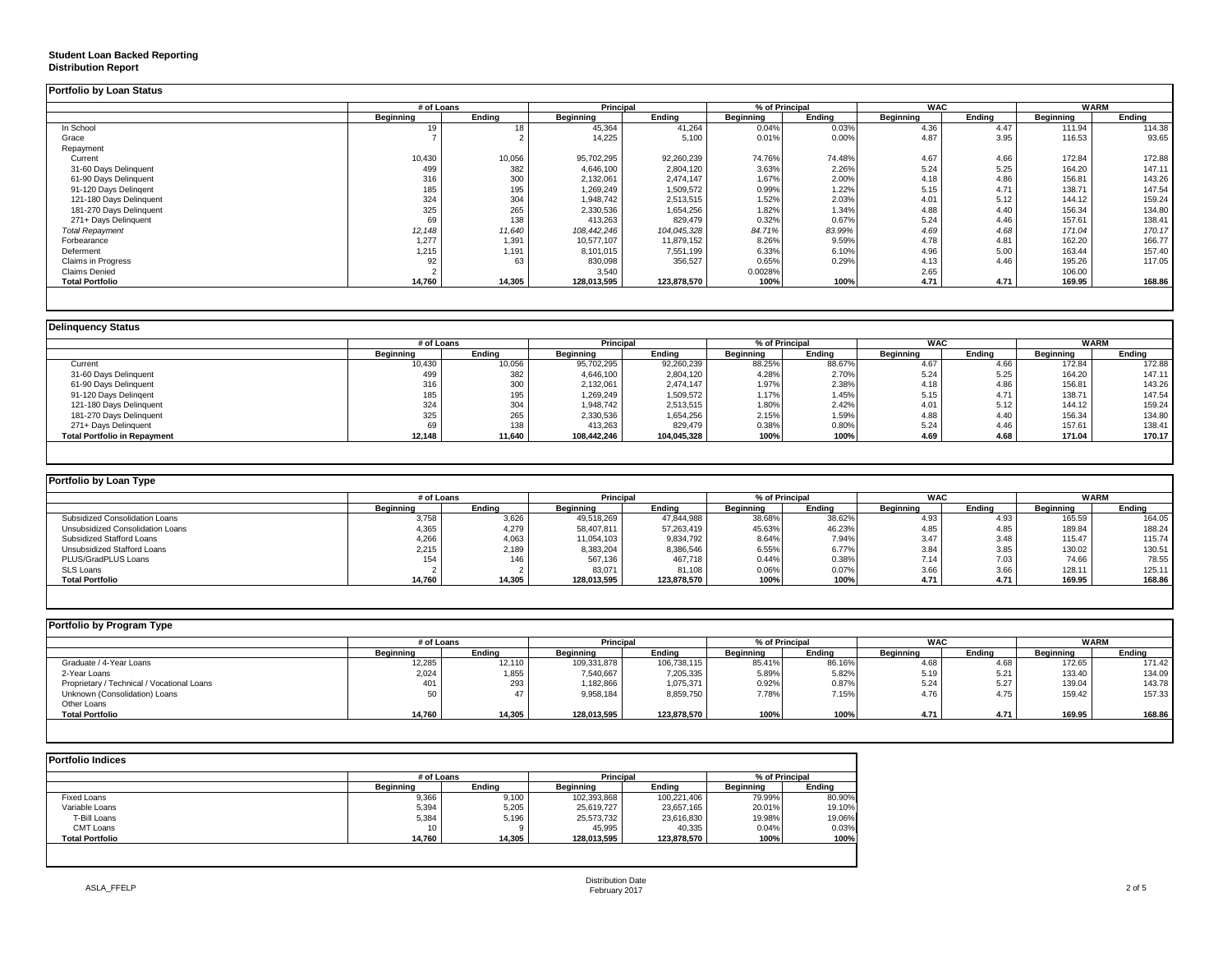#### **Student Loan Backed Reporting**

#### **Distribution Report**

| Portfolio by Loan Status  |                |        |                  |             |                |        |            |        |             |        |
|---------------------------|----------------|--------|------------------|-------------|----------------|--------|------------|--------|-------------|--------|
|                           | # of Loans     |        | <b>Principal</b> |             | % of Principal |        | <b>WAC</b> |        | <b>WARM</b> |        |
|                           | Beainnina      | Endina | Beginning        | Ending      | Beginning      | Ending | Beainnina  | Ending | Beginning   | Ending |
| In School                 | 1 <sup>c</sup> |        | 45,364           | 41,264      | 0.04%          | 0.03%  | 4.36       | 4.47   | 111.94      | 114.38 |
| Grace                     |                |        | 14,225           | 5,100       | 0.01%          | 0.00%  | 4.87       | 3.95   | 116.53      | 93.65  |
| Repayment                 |                |        |                  |             |                |        |            |        |             |        |
| Current                   | 10,430         | 10,056 | 95,702,295       | 92,260,239  | 74.76%         | 74.48% | 4.67       | 4.66   | 172.84      | 172.88 |
| 31-60 Days Delinquent     | 499            | 382    | 4,646,100        | 2,804,120   | 3.63%          | 2.26%  | 5.24       | 5.25   | 164.20      | 147.11 |
| 61-90 Days Delinquent     | 316            | 300    | 2,132,061        | 2,474,147   | 1.67%          | 2.00%  | 4.18       | 4.86   | 156.81      | 143.26 |
| 91-120 Days Delingent     | 185            | 195    | 1,269,249        | 1,509,572   | 0.99%          | 1.22%  | 5.15       | 4.71   | 138.71      | 147.54 |
| 121-180 Days Delinquent   | 324            | 304    | 1,948,742        | 2,513,515   | 1.52%          | 2.03%  | 4.01       | 5.12   | 144.12      | 159.24 |
| 181-270 Days Delinquent   | 325            | 265    | 2,330,536        | 1,654,256   | 1.82%          | 1.34%  | 4.88       | 4.40   | 156.34      | 134.80 |
| 271+ Days Delinquent      | 69             | 138    | 413,263          | 829.479     | 0.32%          | 0.67%  | 5.24       | 4.46   | 157.61      | 138.41 |
| <b>Total Repayment</b>    | 12,148         | 11,640 | 108,442,246      | 104,045,328 | 84.71%         | 83.99% | 4.69       | 4.68   | 171.04      | 170.17 |
| Forbearance               | 1,277          | 1,391  | 10,577,107       | 11,879,152  | 8.26%          | 9.59%  | 4.78       | 4.81   | 162.20      | 166.77 |
| Deferment                 | 1,215          | 1,191  | 8,101,015        | 7,551,199   | 6.33%          | 6.10%  | 4.96       | 5.00   | 163.44      | 157.40 |
| <b>Claims in Progress</b> | 92             | 63     | 830,098          | 356,527     | 0.65%          | 0.29%  | 4.13       | 4.46   | 195.26      | 117.05 |
| <b>Claims Denied</b>      |                |        | 3,540            |             | 0.0028%        |        | 2.65       |        | 106.00      |        |
| <b>Total Portfolio</b>    | 14,760         | 14,305 | 128,013,595      | 123,878,570 | 100%           | 100%   | 4.71       | 4.71   | 169.95      | 168.86 |
|                           |                |        |                  |             |                |        |            |        |             |        |

|                                     |           | # of Loans |                  | <b>Principal</b> | % of Principal   |        | <b>WAC</b>       |        | WARM             |        |
|-------------------------------------|-----------|------------|------------------|------------------|------------------|--------|------------------|--------|------------------|--------|
|                                     | Beginning | Ending     | <b>Beginning</b> | Ending           | <b>Beginning</b> | Ending | <b>Beginning</b> | Endina | <b>Beginning</b> | Endina |
| Current                             | 10,430    | 10,056     | 95,702,295       | 92,260,239       | 88.25%           | 88.67% | 4.67             | 4.66   | 172.84           | 172.88 |
| 31-60 Days Delinquent               | 499       | 382        | 4,646,100        | 2,804,120        | 4.28%            | 2.70%  | 5.24             | 5.25   | 164.20           | 147.11 |
| 61-90 Days Delinquent               | 316       | 300        | 2,132,061        | 2,474,147        | 1.97%            | 2.38%  | 4.18             | 4.86   | 156.81           | 143.26 |
| 91-120 Days Delingent               | 185       | 195        | 1,269,249        | 1,509,572        | 1.17%            | 1.45%  | 5.15             | 4.71   | 138.71           | 147.54 |
| 121-180 Days Delinquent             | 324       | 304        | 1,948,742        | 2,513,515        | 1.80%            | 2.42%  | 4.01             | 5.12   | 144.12           | 159.24 |
| 181-270 Days Delinquent             | 325       | 265        | 2,330,536        | 1,654,256        | 2.15%            | 1.59%  | 4.88             | 4.40   | 156.34           | 134.80 |
| 271+ Days Delinquent                | 69        | 138        | 413,263          | 829,479          | 0.38%            | 0.80%  | 5.24             | 4.46   | 157.61           | 138.41 |
| <b>Total Portfolio in Repayment</b> | 12,148    | 11,640     | 108,442,246      | 104,045,328      | 100%             | 100%   | 4.69             | 4.68   | 171.04           | 170.17 |

| Portfolio by Loan Type           |                  |        |                  |                                    |           |        |            |        |             |        |
|----------------------------------|------------------|--------|------------------|------------------------------------|-----------|--------|------------|--------|-------------|--------|
|                                  | # of Loans       |        |                  | <b>Principal</b><br>% of Principal |           |        | <b>WAC</b> |        | <b>WARM</b> |        |
|                                  | <b>Beginning</b> | Endina | <b>Beginning</b> | Endina                             | Beainnina | Endina | Beginning  | Endina | Beginning   | Endina |
| Subsidized Consolidation Loans   | 3,758            | 3,626  | 49,518,269       | 47,844,988                         | 38.68%    | 38.62% | 4.93       | 4.93   | 165.59      | 164.05 |
| Unsubsidized Consolidation Loans | 4,365            | 4,279  | 58,407,811       | 57,263,419                         | 45.63%    | 46.23% | 4.85       | 4.85   | 189.84      | 188.24 |
| Subsidized Stafford Loans        | 4,266            | 4,063  | 11,054,103       | 9,834,792                          | 8.64%     | 7.94%  | 3.47       | 3.48   | 115.47      | 115.74 |
| Unsubsidized Stafford Loans      | 2,215            | 2.189  | 8,383,204        | 8,386,546                          | 6.55%     | 6.77%  | 3.84       | 3.85   | 130.02      | 130.51 |
| PLUS/GradPLUS Loans              | 154              | 146    | 567.136          | 467.718                            | 0.44%     | 0.38%  | 7.14       | 7.03   | 74.66       | 78.55  |
| SLS Loans                        |                  |        | 83,071           | 81.108                             | 0.06%     | 0.07%  | 3.66       | 3.66   | 128.11      | 125.11 |
| <b>Total Portfolio</b>           | 14,760           | 14,305 | 128,013,595      | 123,878,570                        | 100%      | 100%   | 4.71       | 4.71   | 169.95      | 168.86 |

| Portfolio by Program Type                  |                  |            |                  |                             |           |        |                  |            |           |             |  |
|--------------------------------------------|------------------|------------|------------------|-----------------------------|-----------|--------|------------------|------------|-----------|-------------|--|
|                                            |                  | # of Loans |                  | Principal<br>% of Principal |           |        |                  | <b>WAC</b> |           | <b>WARM</b> |  |
|                                            | <b>Beginning</b> | Endina     | <b>Beginning</b> | Ending                      | Beginning | Endina | <b>Beginning</b> | Endina     | Beginning | Endina      |  |
| Graduate / 4-Year Loans                    | 12,285           | 12,110     | 109,331,878      | 106,738,115                 | 85.41%    | 86.16% | 4.68             | 4.68       | 172.65    | 171.42      |  |
| 2-Year Loans                               | 2,024            | 1,855      | 7,540,667        | 7,205,335                   | 5.89%     | 5.82%  | 5.19             | 5.21       | 133.40    | 134.09      |  |
| Proprietary / Technical / Vocational Loans | 401              | 293        | 1,182,866        | 1,075,371                   | 0.92%     | 0.87%  | 5.24             | 5.27       | 139.04    | 143.78      |  |
| Unknown (Consolidation) Loans              |                  |            | 9,958,184        | 8,859,750                   | 7.78%     | 7.15%  | 4.76             | 4.75       | 159.42    | 157.33      |  |
| Other Loans                                |                  |            |                  |                             |           |        |                  |            |           |             |  |
| <b>Total Portfolio</b>                     | 14,760           | 14,305     | 128,013,595      | 123,878,570                 | 100%      | 100%   | 4.7'             | 4.71       | 169.95    | 168.86      |  |
|                                            |                  |            |                  |                             |           |        |                  |            |           |             |  |

| <b>Portfolio Indices</b> |            |        |                  |             |                  |        |
|--------------------------|------------|--------|------------------|-------------|------------------|--------|
|                          | # of Loans |        | <b>Principal</b> |             | % of Principal   |        |
|                          | Beainnina  | Endina | Beginning        | Endina      | <b>Beginning</b> | Ending |
| <b>Fixed Loans</b>       | 9,366      | 9,100  | 102,393,868      | 100,221,406 | 79.99%           | 80.90% |
| Variable Loans           | 5,394      | 5,205  | 25,619,727       | 23,657,165  | 20.01%           | 19.10% |
| T-Bill Loans             | 5,384      | 5,196  | 25,573,732       | 23,616,830  | 19.98%           | 19.06% |
| CMT Loans                | 10         |        | 45,995           | 40,335      | 0.04%            | 0.03%  |
| <b>Total Portfolio</b>   | 14.760     | 14.305 | 128,013,595      | 123.878.570 | 100%             | 100%   |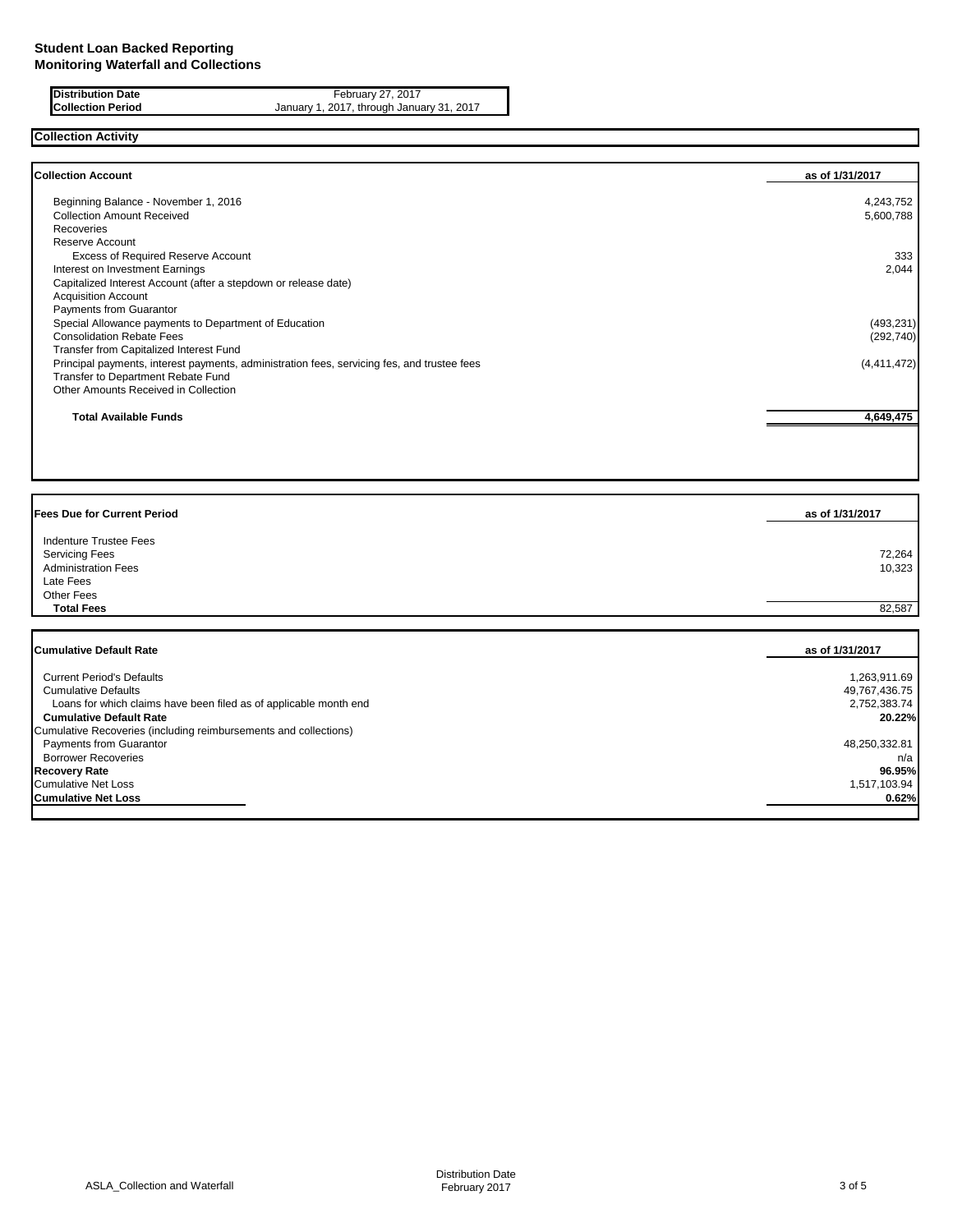**Distribution Date** February 27, 2017 **Collection Period** January 1, 2017, through January 31, 2017

### **Collection Activity**

| <b>Collection Account</b>                                                                   | as of 1/31/2017 |
|---------------------------------------------------------------------------------------------|-----------------|
| Beginning Balance - November 1, 2016                                                        | 4,243,752       |
| <b>Collection Amount Received</b>                                                           | 5,600,788       |
| Recoveries                                                                                  |                 |
| Reserve Account                                                                             |                 |
| <b>Excess of Required Reserve Account</b>                                                   | 333             |
| Interest on Investment Earnings                                                             | 2,044           |
| Capitalized Interest Account (after a stepdown or release date)                             |                 |
| <b>Acquisition Account</b>                                                                  |                 |
| <b>Payments from Guarantor</b>                                                              |                 |
| Special Allowance payments to Department of Education                                       | (493, 231)      |
| <b>Consolidation Rebate Fees</b>                                                            | (292,740)       |
| Transfer from Capitalized Interest Fund                                                     |                 |
| Principal payments, interest payments, administration fees, servicing fes, and trustee fees | (4,411,472)     |
| Transfer to Department Rebate Fund                                                          |                 |
| Other Amounts Received in Collection                                                        |                 |
| <b>Total Available Funds</b>                                                                | 4,649,475       |

| Fees Due for Current Period                                                                                     | as of 1/31/2017  |
|-----------------------------------------------------------------------------------------------------------------|------------------|
| <b>Indenture Trustee Fees</b><br><b>Servicing Fees</b><br><b>Administration Fees</b><br>Late Fees<br>Other Fees | 72,264<br>10,323 |
| <b>Total Fees</b>                                                                                               | 82,587           |
| <b>Cumulative Default Rate</b>                                                                                  | as of 1/31/2017  |

| <b>Current Period's Defaults</b>                                  | 1,263,911.69  |
|-------------------------------------------------------------------|---------------|
| <b>Cumulative Defaults</b>                                        | 49,767,436.75 |
| Loans for which claims have been filed as of applicable month end | 2,752,383.74  |
| <b>Cumulative Default Rate</b>                                    | 20.22%        |
| Cumulative Recoveries (including reimbursements and collections)  |               |
| Payments from Guarantor                                           | 48,250,332.81 |
| <b>Borrower Recoveries</b>                                        | n/a           |
| <b>Recovery Rate</b>                                              | 96.95%        |
| <b>Cumulative Net Loss</b>                                        | 1,517,103.94  |
| <b>Cumulative Net Loss</b>                                        | 0.62%         |
|                                                                   |               |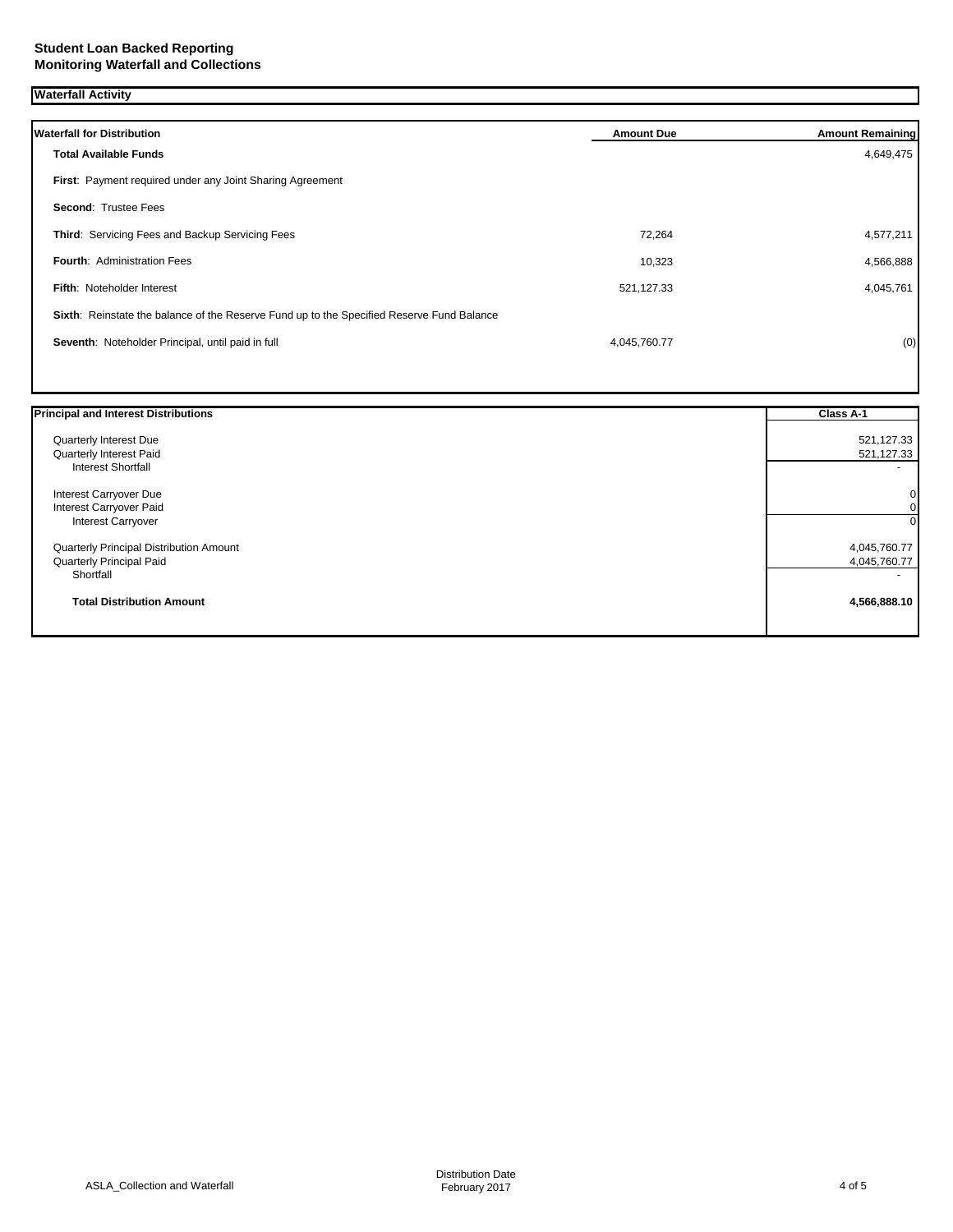**Waterfall Activity**

| <b>Waterfall for Distribution</b>                                                         | <b>Amount Due</b> | <b>Amount Remaining</b> |
|-------------------------------------------------------------------------------------------|-------------------|-------------------------|
| <b>Total Available Funds</b>                                                              |                   | 4,649,475               |
| First: Payment required under any Joint Sharing Agreement                                 |                   |                         |
| <b>Second: Trustee Fees</b>                                                               |                   |                         |
| <b>Third: Servicing Fees and Backup Servicing Fees</b>                                    | 72.264            | 4,577,211               |
| <b>Fourth: Administration Fees</b>                                                        | 10,323            | 4,566,888               |
| <b>Fifth: Noteholder Interest</b>                                                         | 521,127.33        | 4,045,761               |
| Sixth: Reinstate the balance of the Reserve Fund up to the Specified Reserve Fund Balance |                   |                         |
| Seventh: Noteholder Principal, until paid in full                                         | 4,045,760.77      | (0)                     |
|                                                                                           |                   |                         |

| 521,127.33      |
|-----------------|
| 521,127.33<br>0 |
|                 |
|                 |
|                 |
| 01              |
| $\Omega$        |
| 4,045,760.77    |
| 4,045,760.77    |
|                 |
| 4,566,888.10    |
|                 |